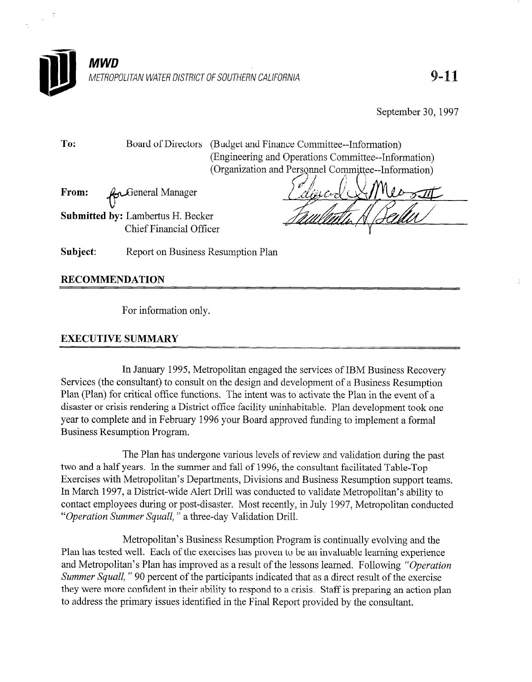

September 30, 1997

To: Board of Directors (Budget and Finance Committee--Information) (Engineering and Operations Committee--Information) (Organization and Personnel Committee--Information)

From: v eneral Manager

Submitted by: Lambertus H. Becker Chief Financial Officer

Subject: Report on Business Resumption Plan

## RECOMMENDATION

For information only.

## EXECUTIVE SUMMARY

In January 1995, Metropolitan engaged the services of IBM Business Recovery Services (the consultant) to consult on the design and development of a Business Resumption Plan (Plan) for critical office functions. The intent was to activate the Plan in the event of a disaster or crisis rendering a District office facility uninhabitable. Plan development took one year to complete and in February 1996 your Board approved funding to implement a formal Business Resumption Program.

The Plan has undergone various levels of review and validation during the past two and a half years. In the summer and fall of 1996, the consultant facilitated Table-Top Exercises with Metropolitan's Departments, Divisions and Business Resumption support teams. In March 1997, a District-wide Alert Drill was conducted to validate Metropolitan's ability to contact employees during or post-disaster. Most recently, in July 1997, Metropolitan conducted "Operation Summer Squall, " a three-day Validation Drill.

Metropolitan's Business Resumption Program is continually evolving and the Plan has tested well. Each of the exercises has proven to be an invaluable learning experience and Metropolitan's Plan has improved as a result of the lessons learned. Following "Operation Summer Squall, " 90 percent of the participants indicated that as a direct result of the exercise they were more confident in their ability to respond to a crisis. Staff is preparing an action plan to address the primary issues identified in the Final Report provided by the consultant.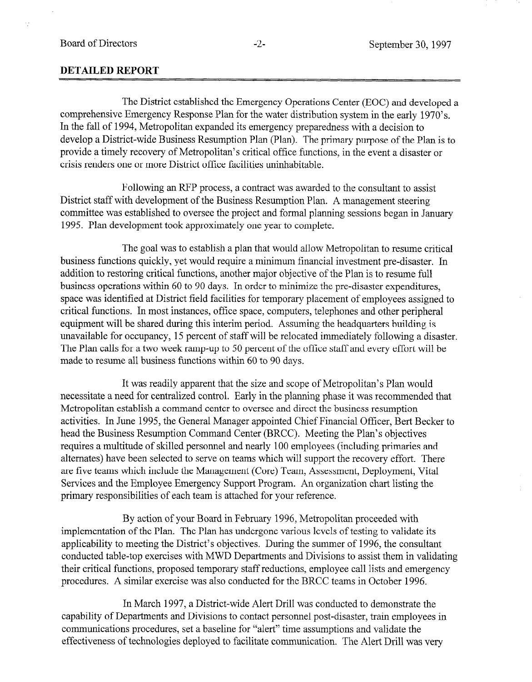## DETAILED REPORT

The District established the Emergency Operations Center (EOC) and developed a comprehensive Emergency Response Plan for the water distribution system in the early 1970's. In the fall of 1994, Metropolitan expanded its emergency preparedness with a decision to develop a District-wide Business Resumption Plan (Plan). The primary purpose of the Plan is to provide a timely recovery of Metropolitan's critical office functions, in the event a disaster or crisis renders one or more District office facilities uninhabitable.

Following an RFP process, a contract was awarded to the consultant to assist District staff with development of the Business Resumption Plan. A management steering committee was established to oversee the project and formal planning sessions began in January 1995. Plan development took approximately one year to complete.

The goal was to establish a plan that would allow Metropolitan to resume critical business functions quickly, yet would require a minimum financial investment pre-disaster. In addition to restoring critical functions, another major objective of the Plan is to resume full business operations within 60 to 90 days. In order to minimize the pre-disaster expenditures, space was identified at District field facilities for temporary placement of employees assigned to critical functions. In most instances, office space, computers, telephones and other peripheral equipment will be shared during this interim period. Assuming the headquarters building is unavailable for occupancy, 15 percent of staff will be relocated immediately following a disaster. The Plan calls for a two week ramp-up to 50 percent of the office staff and every effort will be made to resume all business functions within 60 to 90 days.

It was readily apparent that the size and scope of Metropolitan's Plan would necessitate a need for centralized control. Early in the planning phase it was recommended that Metropolitan establish a command center to oversee and direct the business resumption activities. In June 1995, the General Manager appointed Chief Financial Officer, Bert Becker to head the Business Resumption Command Center (BRCC). Meeting the Plan's objectives requires a multitude of skilled personnel and nearly 100 employees (including primaries and alternates) have been selected to serve on teams which will support the recovery effort. There are five teams which include the Management (Core) Team, Assessment, Deployment, Vital Services and the Employee Emergency Support Program. An organization chart listing the primary responsibilities of each team is attached for your reference.

By action of your Board in February 1996, Metropolitan proceeded with implementation of the Plan. The Plan has undergone various levels of testing to validate its applicability to meeting the District's objectives. During the summer of 1996, the consultant conducted table-top exercises with MWD Departments and Divisions to assist them in validating their critical functions, proposed temporary staff reductions, employee call lists and emergency procedures. A similar exercise was also conducted for the BRCC teams in October 1996.

In March 1997, a District-wide Alert Drill was conducted to demonstrate the capability of Departments and Divisions to contact personnel post-disaster, train employees in communications procedures, set a baseline for "alert" time assumptions and validate the effectiveness of technologies deployed to facilitate communication. The Alert Drill was very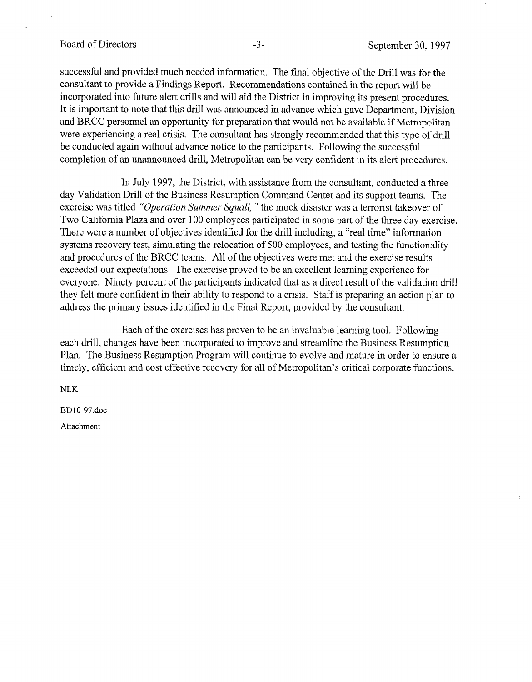successful and provided much needed information. The final objective of the Drill was for the consultant to provide a Findings Report. Recommendations contained in the report will be incorporated into future alert drills and will aid the District in improving its present procedures. It is important to note that this drill was announced in advance which gave Department, Division and BRCC personnel an opportunity for preparation that would not be available if Metropolitan were experiencing a real crisis. The consultant has strongly recommended that this type of drill be conducted again without advance notice to the participants. Following the successful completion of an unannounced drill, Metropolitan can be very confident in its alert procedures.

In July 1997, the District, with assistance from the consultant, conducted a three day Validation Drill of the Business Resumption Command Center and its support teams. The exercise was titled "Operation Summer Squall," the mock disaster was a terrorist takeover of Two California Plaza and over 100 employees participated in some part of the three day exercise. There were a number of objectives identified for the drill including, a "real time" information systems recovery test, simulating the relocation of 500 employees, and testing the functionality and procedures of the BRCC teams. All of the objectives were met and the exercise results exceeded our expectations. The exercise proved to be an excellent learning experience for everyone. Ninety percent of the participants indicated that as a direct result of the validation drill they felt more confident in their ability to respond to a crisis. Staff is preparing an action plan to address the primary issues identified in the Final Report, provided by the consultant.

Each of the exercises has proven to be an invaluable learning tool. Following each drill, changes have been incorporated to improve and streamline the Business Resumption Plan. The Business Resumption Program will continue to evolve and mature in order to ensure a timely, efficient and cost effective recovery for all of Metropolitan's critical corporate functions.

NLK

BDlO-97.doc

Attachment